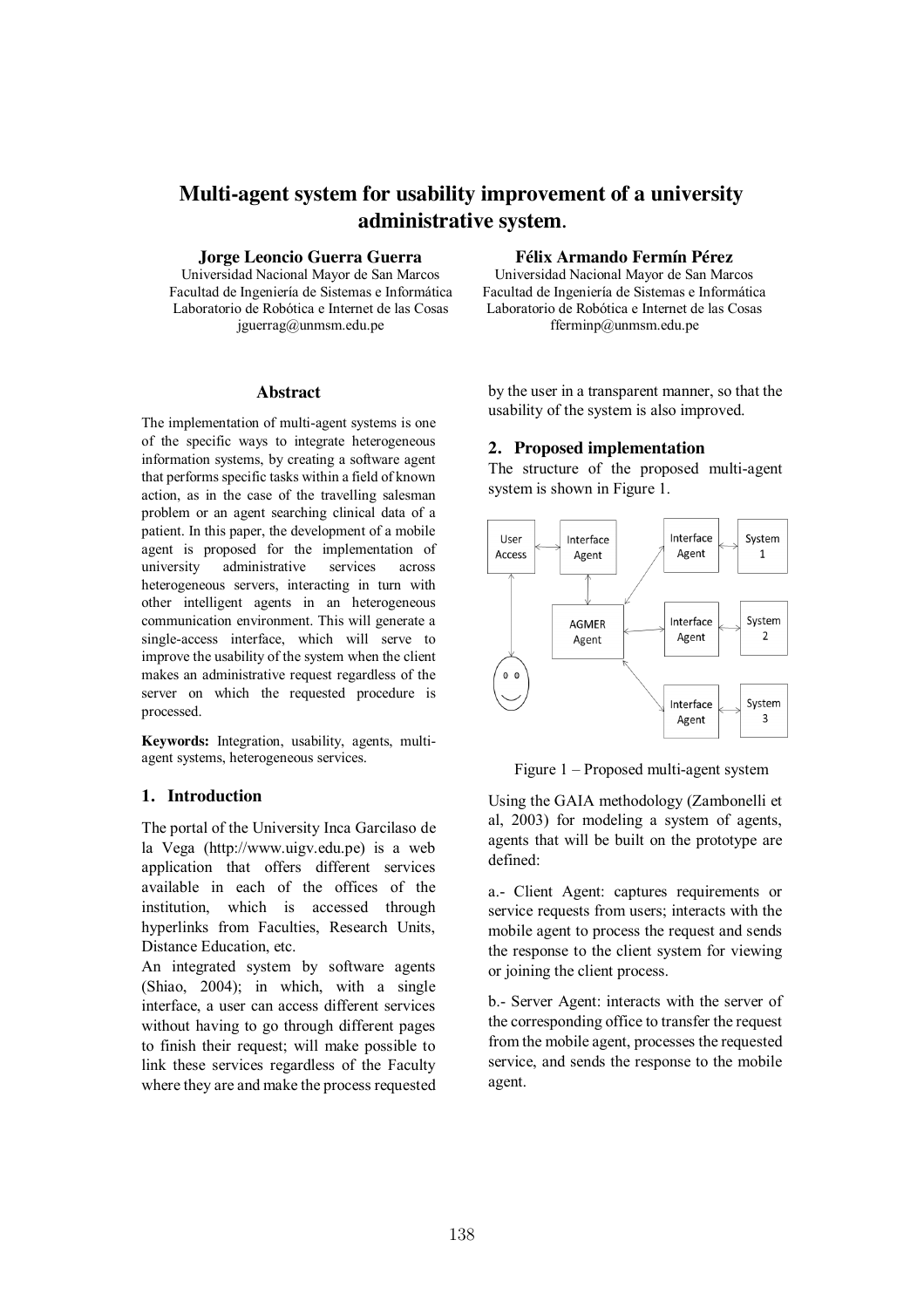# **Multi-agent system for usability improvement of a university administrative system.**

**Jorge Leoncio Guerra Guerra Cuerra Félix Armando Fermín Pérez**<br>
Universidad Nacional Mayor de San Marcos Universidad Nacional Mayor de San Marcos

Laboratorio de Robótica e Internet de las Cosas Laboratorio de Robótica e Internet de las Cosas jguerrag@unmsm.edu.pe fferminp@unmsm.edu.pe

### **Abstract**

The implementation of multi-agent systems is one of the specific ways to integrate heterogeneous information systems, by creating a software agent that performs specific tasks within a field of known action, as in the case of the travelling salesman problem or an agent searching clinical data of a patient. In this paper, the development of a mobile agent is proposed for the implementation of university administrative services across heterogeneous servers, interacting in turn with other intelligent agents in an heterogeneous communication environment. This will generate a single-access interface, which will serve to improve the usability of the system when the client makes an administrative request regardless of the server on which the requested procedure is processed.

**Keywords:** Integration, usability, agents, multiagent systems, heterogeneous services.

### **1. Introduction**

The portal of the University Inca Garcilaso de la Vega (http://www.uigv.edu.pe) is a web application that offers different services available in each of the offices of the institution, which is accessed through hyperlinks from Faculties, Research Units, Distance Education, etc.

An integrated system by software agents (Shiao, 2004); in which, with a single interface, a user can access different services without having to go through different pages to finish their request; will make possible to link these services regardless of the Faculty where they are and make the process requested

Universidad Nacional Mayor de San Marcos Universidad Nacional Mayor de San Marcos Facultad de Ingeniería de Sistemas e Informática Facultad de Ingeniería de Sistemas e Informática

> by the user in a transparent manner, so that the usability of the system is also improved.

### **2. Proposed implementation**

The structure of the proposed multi-agent system is shown in Figure 1.



Figure 1 – Proposed multi-agent system

Using the GAIA methodology (Zambonelli et al, 2003) for modeling a system of agents, agents that will be built on the prototype are defined:

a.- Client Agent: captures requirements or service requests from users; interacts with the mobile agent to process the request and sends the response to the client system for viewing or joining the client process.

b.- Server Agent: interacts with the server of the corresponding office to transfer the request from the mobile agent, processes the requested service, and sends the response to the mobile agent.